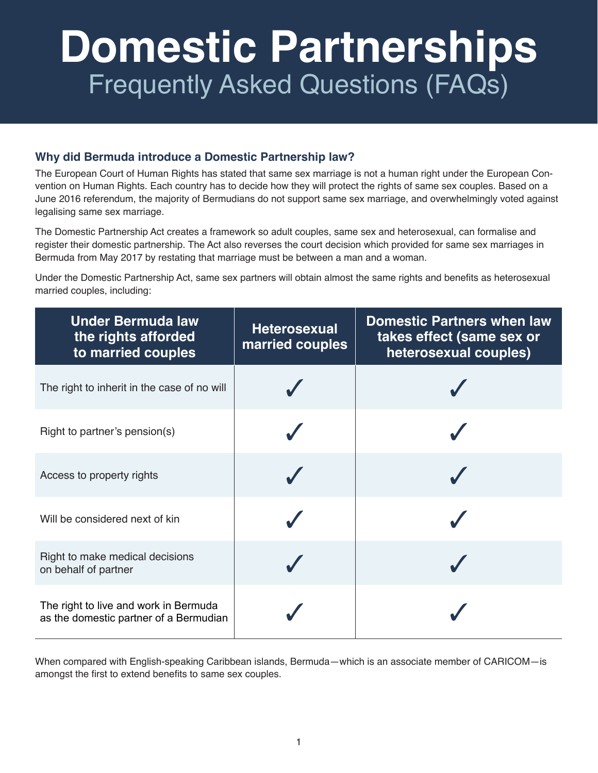# **Domestic Partnerships** Frequently Asked Questions (FAQs)

## **Why did Bermuda introduce a Domestic Partnership law?**

The European Court of Human Rights has stated that same sex marriage is not a human right under the European Convention on Human Rights. Each country has to decide how they will protect the rights of same sex couples. Based on a June 2016 referendum, the majority of Bermudians do not support same sex marriage, and overwhelmingly voted against legalising same sex marriage.

The Domestic Partnership Act creates a framework so adult couples, same sex and heterosexual, can formalise and register their domestic partnership. The Act also reverses the court decision which provided for same sex marriages in Bermuda from May 2017 by restating that marriage must be between a man and a woman.

Under the Domestic Partnership Act, same sex partners will obtain almost the same rights and benefits as heterosexual married couples, including:

| <b>Under Bermuda law</b><br>the rights afforded<br>to married couples           | <b>Heterosexual</b><br>married couples | <b>Domestic Partners when law</b><br>takes effect (same sex or<br>heterosexual couples) |
|---------------------------------------------------------------------------------|----------------------------------------|-----------------------------------------------------------------------------------------|
| The right to inherit in the case of no will                                     |                                        |                                                                                         |
| Right to partner's pension(s)                                                   |                                        |                                                                                         |
| Access to property rights                                                       |                                        |                                                                                         |
| Will be considered next of kin                                                  |                                        |                                                                                         |
| Right to make medical decisions<br>on behalf of partner                         |                                        |                                                                                         |
| The right to live and work in Bermuda<br>as the domestic partner of a Bermudian |                                        |                                                                                         |

When compared with English-speaking Caribbean islands, Bermuda—which is an associate member of CARICOM—is amongst the first to extend benefits to same sex couples.